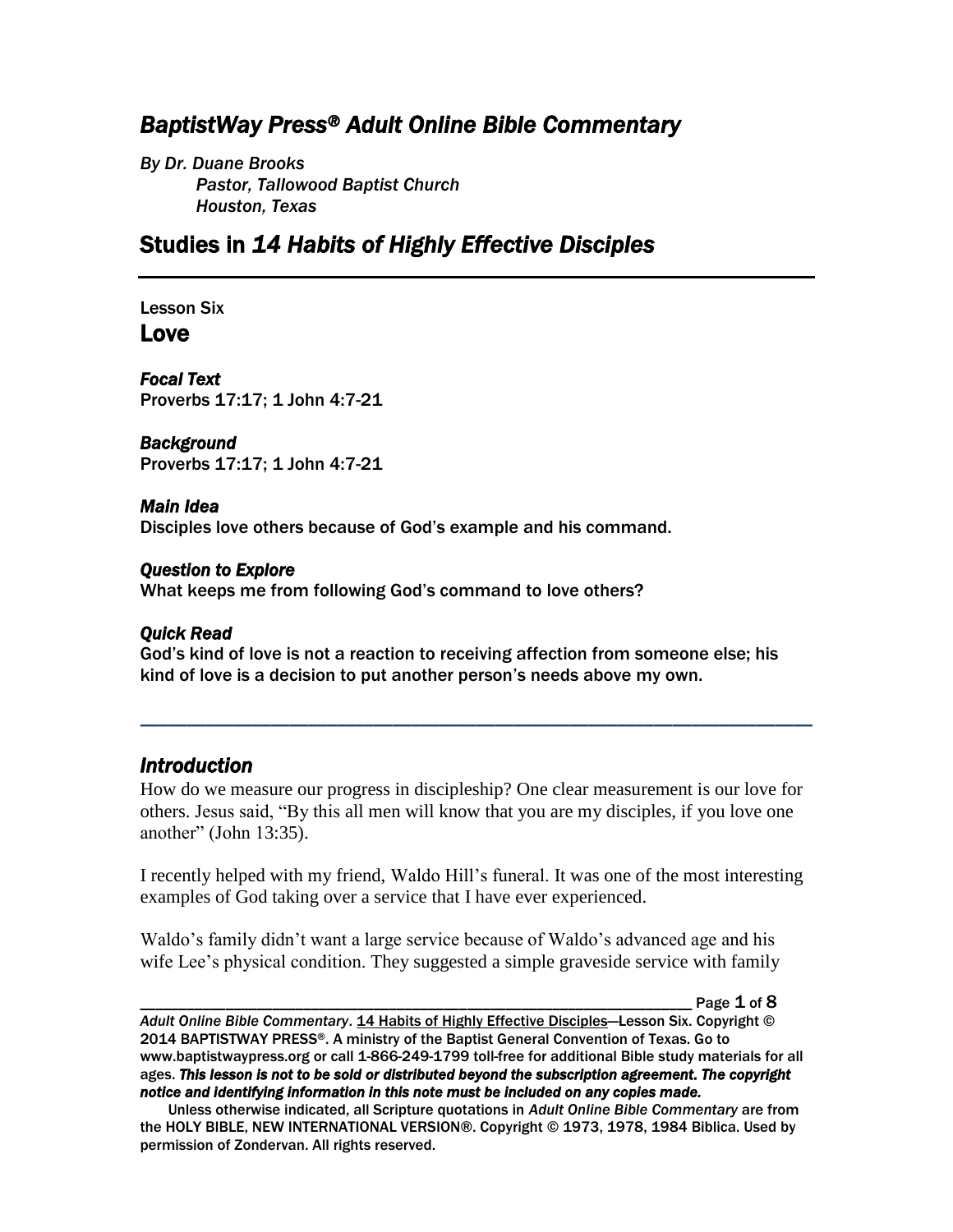# *BaptistWay Press® Adult Online Bible Commentary*

*By Dr. Duane Brooks Pastor, Tallowood Baptist Church Houston, Texas*

# Studies in *14 Habits of Highly Effective Disciples*

Lesson Six Love

*Focal Text*  Proverbs 17:17; 1 John 4:7-21

*Background*  Proverbs 17:17; 1 John 4:7-21

### *Main Idea*

Disciples love others because of God's example and his command.

#### *Question to Explore*

What keeps me from following God's command to love others?

### *Quick Read*

God's kind of love is not a reaction to receiving affection from someone else; his kind of love is a decision to put another person's needs above my own.

## *Introduction*

How do we measure our progress in discipleship? One clear measurement is our love for others. Jesus said, "By this all men will know that you are my disciples, if you love one another" (John 13:35).

*\_\_\_\_\_\_\_\_\_\_\_\_\_\_\_\_\_\_\_\_\_\_\_\_\_\_\_\_\_\_\_\_\_\_\_\_\_\_\_\_\_\_\_\_\_\_\_\_\_\_\_\_\_\_\_\_\_\_\_\_\_\_\_\_\_\_\_\_\_\_\_\_*

I recently helped with my friend, Waldo Hill's funeral. It was one of the most interesting examples of God taking over a service that I have ever experienced.

Waldo's family didn't want a large service because of Waldo's advanced age and his wife Lee's physical condition. They suggested a simple graveside service with family

Page  $1$  of  $8$ 

*Adult Online Bible Commentary*. 14 Habits of Highly Effective Disciples—Lesson Six. Copyright © 2014 BAPTISTWAY PRESS®. A ministry of the Baptist General Convention of Texas. Go to www.baptistwaypress.org or call 1-866-249-1799 toll-free for additional Bible study materials for all ages. *This lesson is not to be sold or distributed beyond the subscription agreement. The copyright notice and identifying information in this note must be included on any copies made.* 

Unless otherwise indicated, all Scripture quotations in *Adult Online Bible Commentary* are from the HOLY BIBLE, NEW INTERNATIONAL VERSION®. Copyright © 1973, 1978, 1984 Biblica. Used by permission of Zondervan. All rights reserved.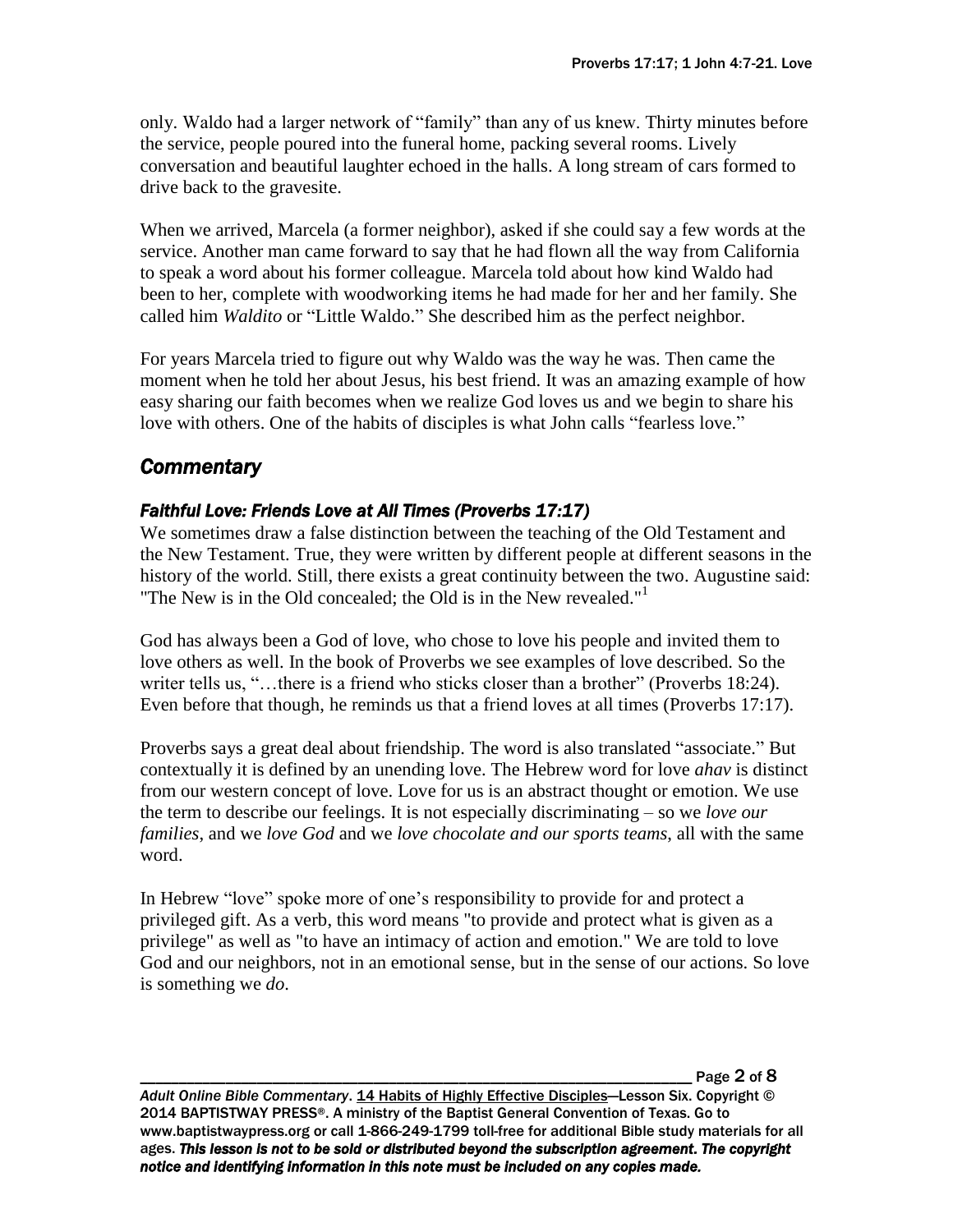only. Waldo had a larger network of "family" than any of us knew. Thirty minutes before the service, people poured into the funeral home, packing several rooms. Lively conversation and beautiful laughter echoed in the halls. A long stream of cars formed to drive back to the gravesite.

When we arrived, Marcela (a former neighbor), asked if she could say a few words at the service. Another man came forward to say that he had flown all the way from California to speak a word about his former colleague. Marcela told about how kind Waldo had been to her, complete with woodworking items he had made for her and her family. She called him *Waldito* or "Little Waldo." She described him as the perfect neighbor.

For years Marcela tried to figure out why Waldo was the way he was. Then came the moment when he told her about Jesus, his best friend. It was an amazing example of how easy sharing our faith becomes when we realize God loves us and we begin to share his love with others. One of the habits of disciples is what John calls "fearless love."

# *Commentary*

# *Faithful Love: Friends Love at All Times (Proverbs 17:17)*

We sometimes draw a false distinction between the teaching of the Old Testament and the New Testament. True, they were written by different people at different seasons in the history of the world. Still, there exists a great continuity between the two. Augustine said: "The New is in the Old concealed; the Old is in the New revealed."<sup>1</sup>

God has always been a God of love, who chose to love his people and invited them to love others as well. In the book of Proverbs we see examples of love described. So the writer tells us, "...there is a friend who sticks closer than a brother" (Proverbs 18:24). Even before that though, he reminds us that a friend loves at all times (Proverbs 17:17).

Proverbs says a great deal about friendship. The word is also translated "associate." But contextually it is defined by an unending love. The Hebrew word for love *ahav* is distinct from our western concept of love. Love for us is an abstract thought or emotion. We use the term to describe our feelings. It is not especially discriminating – so we *love our families*, and we *love God* and we *love chocolate and our sports teams*, all with the same word.

In Hebrew "love" spoke more of one's responsibility to provide for and protect a privileged gift. As a verb, this word means "to provide and protect what is given as a privilege" as well as "to have an intimacy of action and emotion." We are told to love God and our neighbors, not in an emotional sense, but in the sense of our actions. So love is something we *do*.

\_\_\_\_\_\_\_\_\_\_\_\_\_\_\_\_\_\_\_\_\_\_\_\_\_\_\_\_\_\_\_\_\_\_\_\_\_\_\_\_\_\_\_\_\_\_\_\_\_\_\_\_\_\_\_\_\_\_\_\_\_\_\_\_\_\_\_\_\_\_\_ Page 2 of 8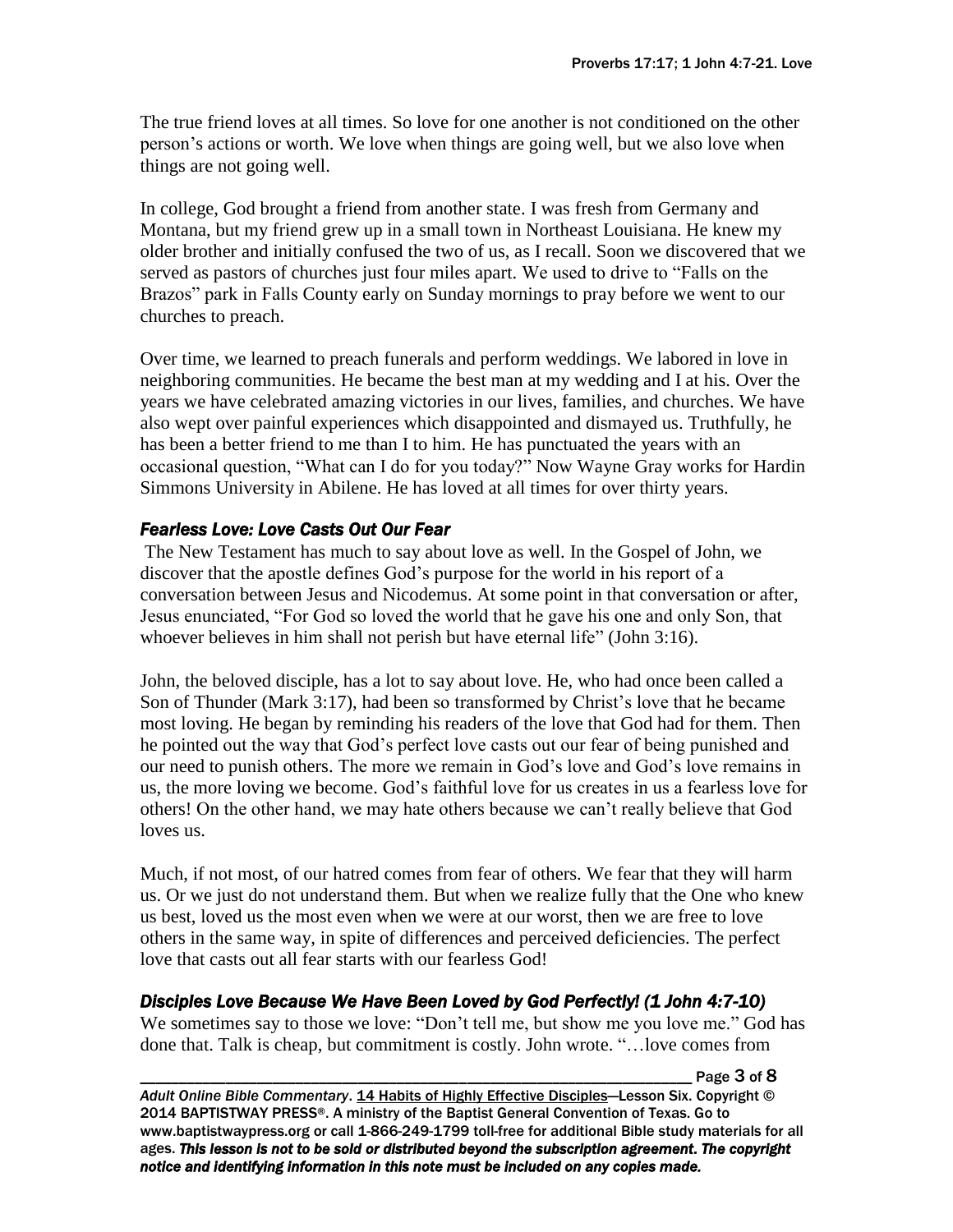The true friend loves at all times. So love for one another is not conditioned on the other person's actions or worth. We love when things are going well, but we also love when things are not going well.

In college, God brought a friend from another state. I was fresh from Germany and Montana, but my friend grew up in a small town in Northeast Louisiana. He knew my older brother and initially confused the two of us, as I recall. Soon we discovered that we served as pastors of churches just four miles apart. We used to drive to "Falls on the Brazos" park in Falls County early on Sunday mornings to pray before we went to our churches to preach.

Over time, we learned to preach funerals and perform weddings. We labored in love in neighboring communities. He became the best man at my wedding and I at his. Over the years we have celebrated amazing victories in our lives, families, and churches. We have also wept over painful experiences which disappointed and dismayed us. Truthfully, he has been a better friend to me than I to him. He has punctuated the years with an occasional question, "What can I do for you today?" Now Wayne Gray works for Hardin Simmons University in Abilene. He has loved at all times for over thirty years.

## *Fearless Love: Love Casts Out Our Fear*

The New Testament has much to say about love as well. In the Gospel of John, we discover that the apostle defines God's purpose for the world in his report of a conversation between Jesus and Nicodemus. At some point in that conversation or after, Jesus enunciated, "For God so loved the world that he gave his one and only Son, that whoever believes in him shall not perish but have eternal life" (John 3:16).

John, the beloved disciple, has a lot to say about love. He, who had once been called a Son of Thunder (Mark 3:17), had been so transformed by Christ's love that he became most loving. He began by reminding his readers of the love that God had for them. Then he pointed out the way that God's perfect love casts out our fear of being punished and our need to punish others. The more we remain in God's love and God's love remains in us, the more loving we become. God's faithful love for us creates in us a fearless love for others! On the other hand, we may hate others because we can't really believe that God loves us.

Much, if not most, of our hatred comes from fear of others. We fear that they will harm us. Or we just do not understand them. But when we realize fully that the One who knew us best, loved us the most even when we were at our worst, then we are free to love others in the same way, in spite of differences and perceived deficiencies. The perfect love that casts out all fear starts with our fearless God!

## *Disciples Love Because We Have Been Loved by God Perfectly! (1 John 4:7-10)*

We sometimes say to those we love: "Don't tell me, but show me you love me." God has done that. Talk is cheap, but commitment is costly. John wrote. "…love comes from

Page 3 of 8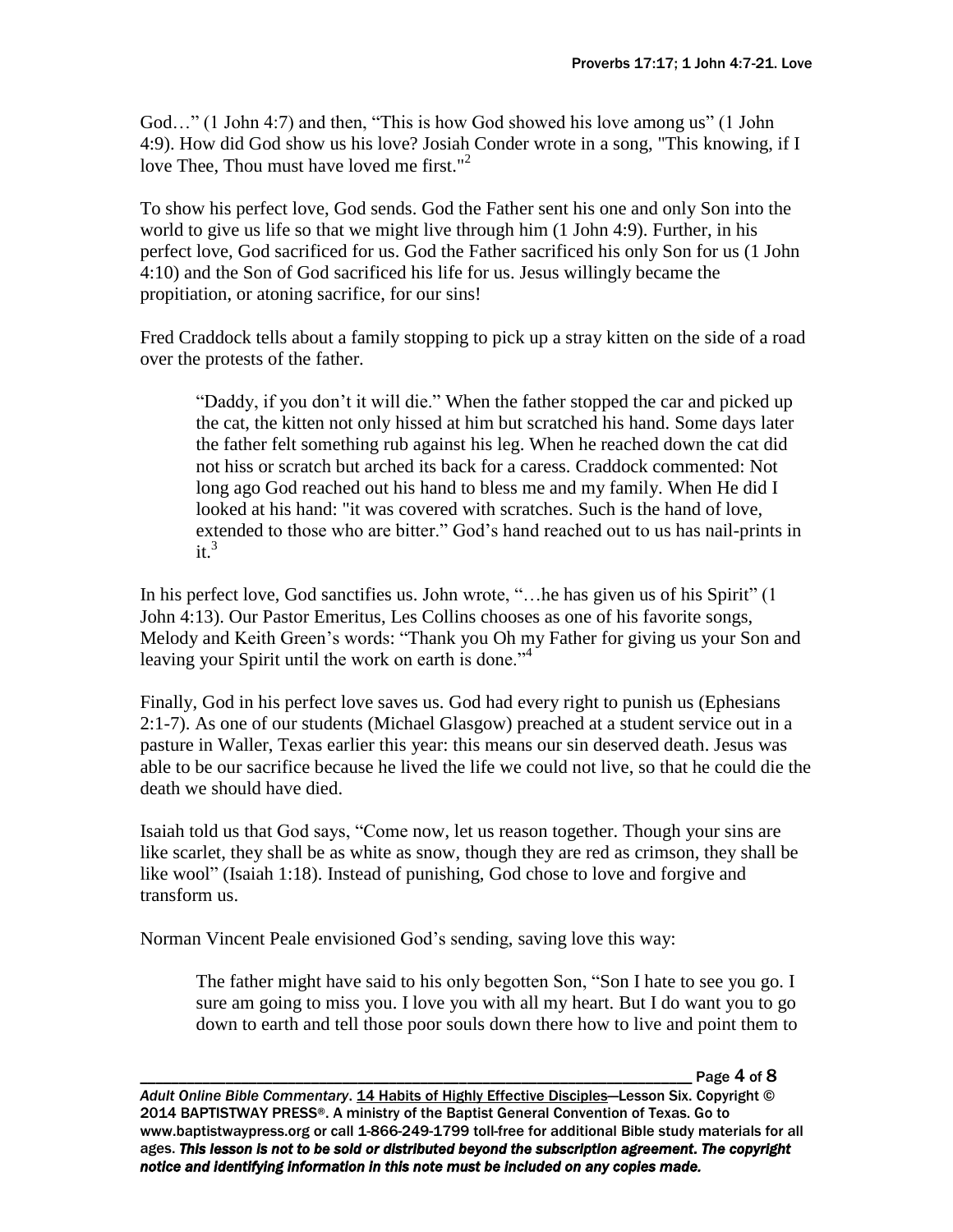God…" (1 John 4:7) and then, "This is how God showed his love among us" (1 John 4:9). How did God show us his love? Josiah Conder wrote in a song, "This knowing, if I love Thee, Thou must have loved me first."<sup>2</sup>

To show his perfect love, God sends. God the Father sent his one and only Son into the world to give us life so that we might live through him (1 John 4:9). Further, in his perfect love, God sacrificed for us. God the Father sacrificed his only Son for us (1 John 4:10) and the Son of God sacrificed his life for us. Jesus willingly became the propitiation, or atoning sacrifice, for our sins!

Fred Craddock tells about a family stopping to pick up a stray kitten on the side of a road over the protests of the father.

"Daddy, if you don't it will die." When the father stopped the car and picked up the cat, the kitten not only hissed at him but scratched his hand. Some days later the father felt something rub against his leg. When he reached down the cat did not hiss or scratch but arched its back for a caress. Craddock commented: Not long ago God reached out his hand to bless me and my family. When He did I looked at his hand: "it was covered with scratches. Such is the hand of love, extended to those who are bitter." God's hand reached out to us has nail-prints in  $it^3$ 

In his perfect love, God sanctifies us. John wrote, "... he has given us of his Spirit" (1) John 4:13). Our Pastor Emeritus, Les Collins chooses as one of his favorite songs, Melody and Keith Green's words: "Thank you Oh my Father for giving us your Son and leaving your Spirit until the work on earth is done.<sup>"4</sup>

Finally, God in his perfect love saves us. God had every right to punish us (Ephesians 2:1-7). As one of our students (Michael Glasgow) preached at a student service out in a pasture in Waller, Texas earlier this year: this means our sin deserved death. Jesus was able to be our sacrifice because he lived the life we could not live, so that he could die the death we should have died.

Isaiah told us that God says, "Come now, let us reason together. Though your sins are like scarlet, they shall be as white as snow, though they are red as crimson, they shall be like wool" (Isaiah 1:18). Instead of punishing, God chose to love and forgive and transform us.

Norman Vincent Peale envisioned God's sending, saving love this way:

The father might have said to his only begotten Son, "Son I hate to see you go. I sure am going to miss you. I love you with all my heart. But I do want you to go down to earth and tell those poor souls down there how to live and point them to

Page  $4$  of  $8$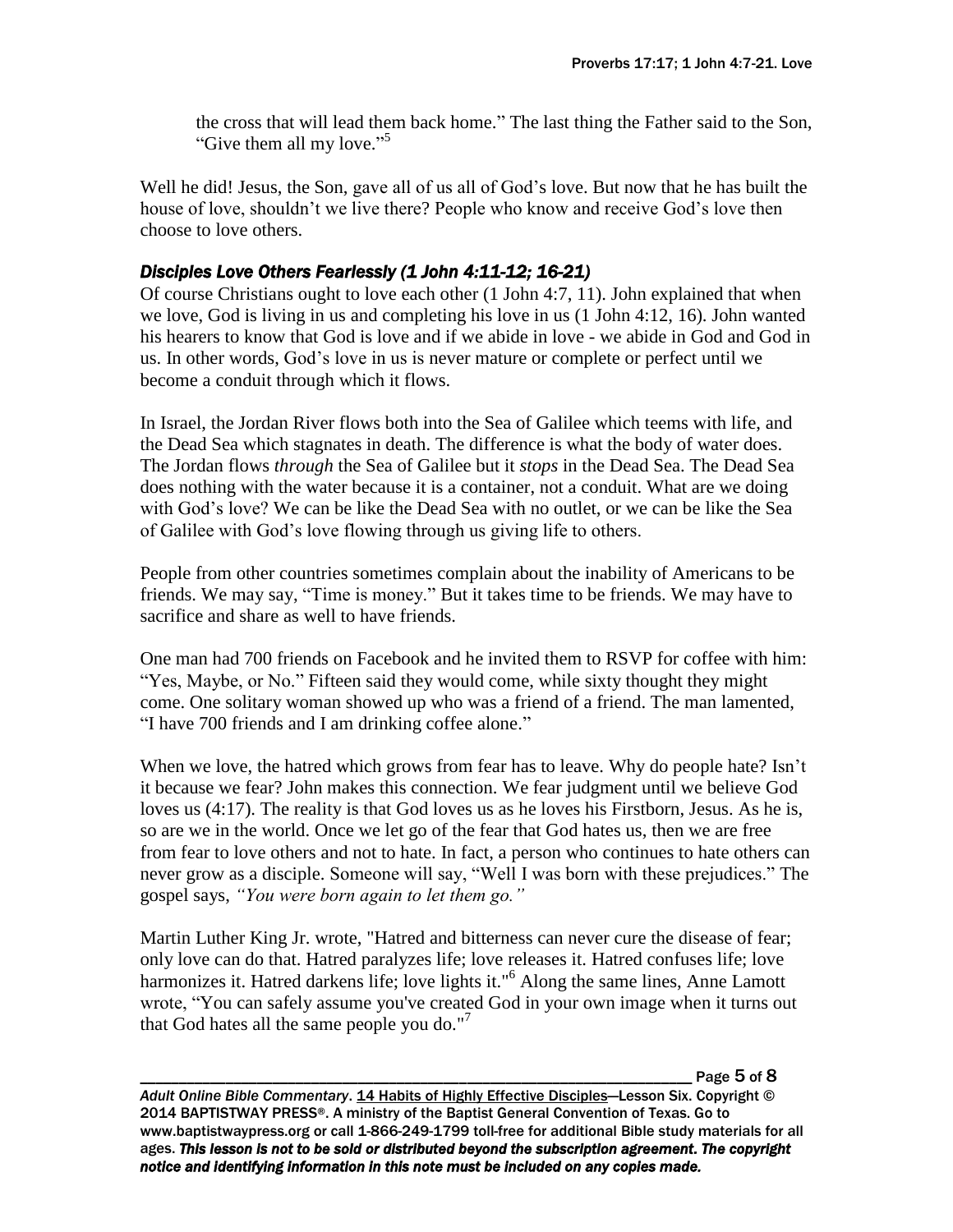the cross that will lead them back home." The last thing the Father said to the Son, "Give them all my love."<sup>5</sup>

Well he did! Jesus, the Son, gave all of us all of God's love. But now that he has built the house of love, shouldn't we live there? People who know and receive God's love then choose to love others.

## *Disciples Love Others Fearlessly (1 John 4:11-12; 16-21)*

Of course Christians ought to love each other (1 John 4:7, 11). John explained that when we love, God is living in us and completing his love in us (1 John 4:12, 16). John wanted his hearers to know that God is love and if we abide in love - we abide in God and God in us. In other words, God's love in us is never mature or complete or perfect until we become a conduit through which it flows.

In Israel, the Jordan River flows both into the Sea of Galilee which teems with life, and the Dead Sea which stagnates in death. The difference is what the body of water does. The Jordan flows *through* the Sea of Galilee but it *stops* in the Dead Sea. The Dead Sea does nothing with the water because it is a container, not a conduit. What are we doing with God's love? We can be like the Dead Sea with no outlet, or we can be like the Sea of Galilee with God's love flowing through us giving life to others.

People from other countries sometimes complain about the inability of Americans to be friends. We may say, "Time is money." But it takes time to be friends. We may have to sacrifice and share as well to have friends.

One man had 700 friends on Facebook and he invited them to RSVP for coffee with him: "Yes, Maybe, or No." Fifteen said they would come, while sixty thought they might come. One solitary woman showed up who was a friend of a friend. The man lamented, "I have 700 friends and I am drinking coffee alone."

When we love, the hatred which grows from fear has to leave. Why do people hate? Isn't it because we fear? John makes this connection. We fear judgment until we believe God loves us (4:17). The reality is that God loves us as he loves his Firstborn, Jesus. As he is, so are we in the world. Once we let go of the fear that God hates us, then we are free from fear to love others and not to hate. In fact, a person who continues to hate others can never grow as a disciple. Someone will say, "Well I was born with these prejudices." The gospel says, *"You were born again to let them go."*

Martin Luther King Jr. wrote, "Hatred and bitterness can never cure the disease of fear; only love can do that. Hatred paralyzes life; love releases it. Hatred confuses life; love harmonizes it. Hatred darkens life; love lights it."<sup>6</sup> Along the same lines, Anne Lamott wrote, "You can safely assume you've created God in your own image when it turns out that God hates all the same people you do."<sup>7</sup>

Page 5 of 8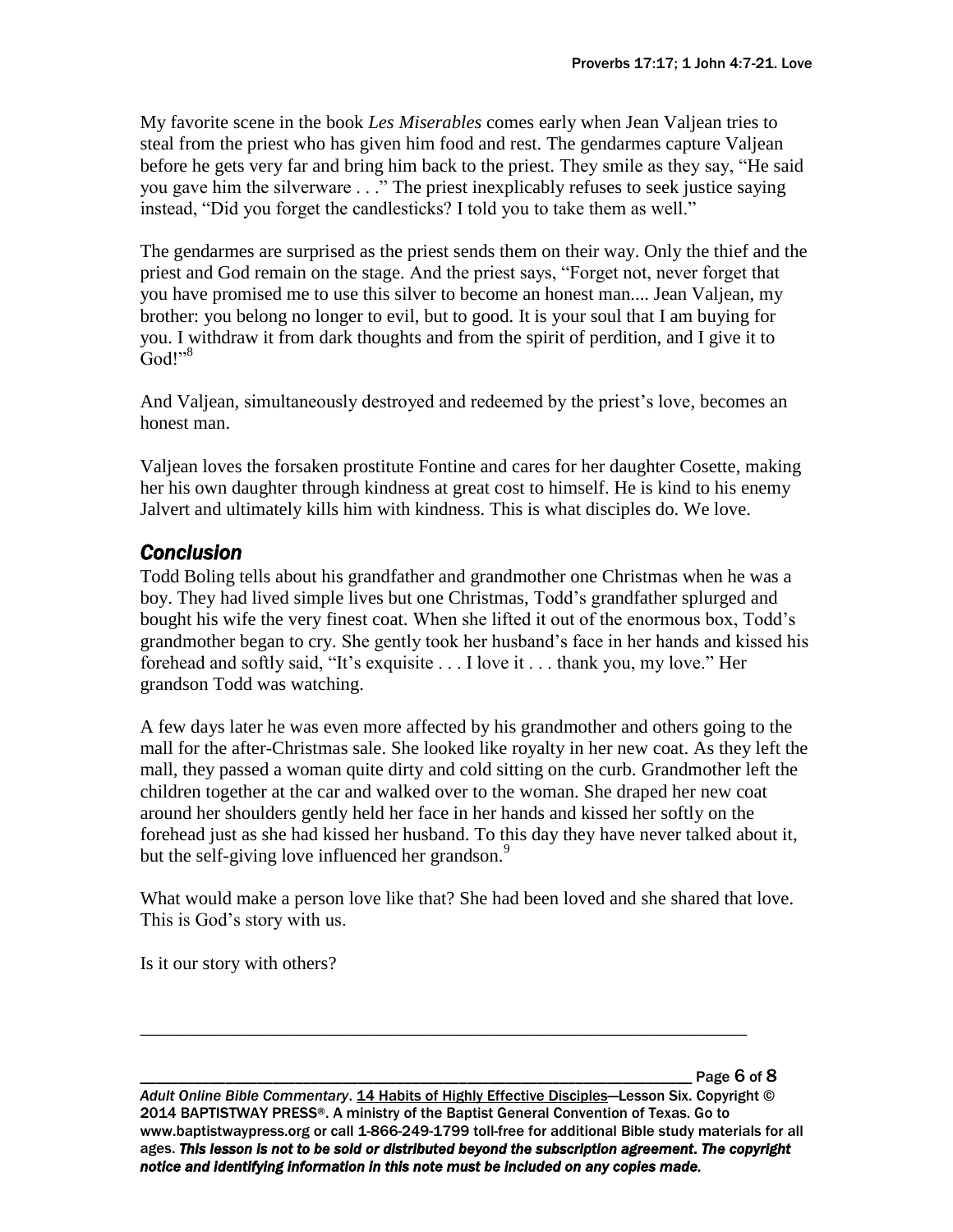My favorite scene in the book *Les Miserables* comes early when Jean Valjean tries to steal from the priest who has given him food and rest. The gendarmes capture Valjean before he gets very far and bring him back to the priest. They smile as they say, "He said you gave him the silverware . . ." The priest inexplicably refuses to seek justice saying instead, "Did you forget the candlesticks? I told you to take them as well."

The gendarmes are surprised as the priest sends them on their way. Only the thief and the priest and God remain on the stage. And the priest says, "Forget not, never forget that you have promised me to use this silver to become an honest man.... Jean Valjean, my brother: you belong no longer to evil, but to good. It is your soul that I am buying for you. I withdraw it from dark thoughts and from the spirit of perdition, and I give it to  $God!"<sup>8</sup>$ 

And Valjean, simultaneously destroyed and redeemed by the priest's love, becomes an honest man.

Valjean loves the forsaken prostitute Fontine and cares for her daughter Cosette, making her his own daughter through kindness at great cost to himself. He is kind to his enemy Jalvert and ultimately kills him with kindness. This is what disciples do. We love.

# *Conclusion*

Todd Boling tells about his grandfather and grandmother one Christmas when he was a boy. They had lived simple lives but one Christmas, Todd's grandfather splurged and bought his wife the very finest coat. When she lifted it out of the enormous box, Todd's grandmother began to cry. She gently took her husband's face in her hands and kissed his forehead and softly said, "It's exquisite . . . I love it . . . thank you, my love." Her grandson Todd was watching.

A few days later he was even more affected by his grandmother and others going to the mall for the after-Christmas sale. She looked like royalty in her new coat. As they left the mall, they passed a woman quite dirty and cold sitting on the curb. Grandmother left the children together at the car and walked over to the woman. She draped her new coat around her shoulders gently held her face in her hands and kissed her softly on the forehead just as she had kissed her husband. To this day they have never talked about it, but the self-giving love influenced her grandson.<sup>9</sup>

What would make a person love like that? She had been loved and she shared that love. This is God's story with us.

\_\_\_\_\_\_\_\_\_\_\_\_\_\_\_\_\_\_\_\_\_\_\_\_\_\_\_\_\_\_\_\_\_\_\_\_\_\_\_\_\_\_\_\_\_\_\_\_\_\_\_\_\_\_\_\_\_\_\_\_\_\_\_\_\_

Is it our story with others?

Page 6 of 8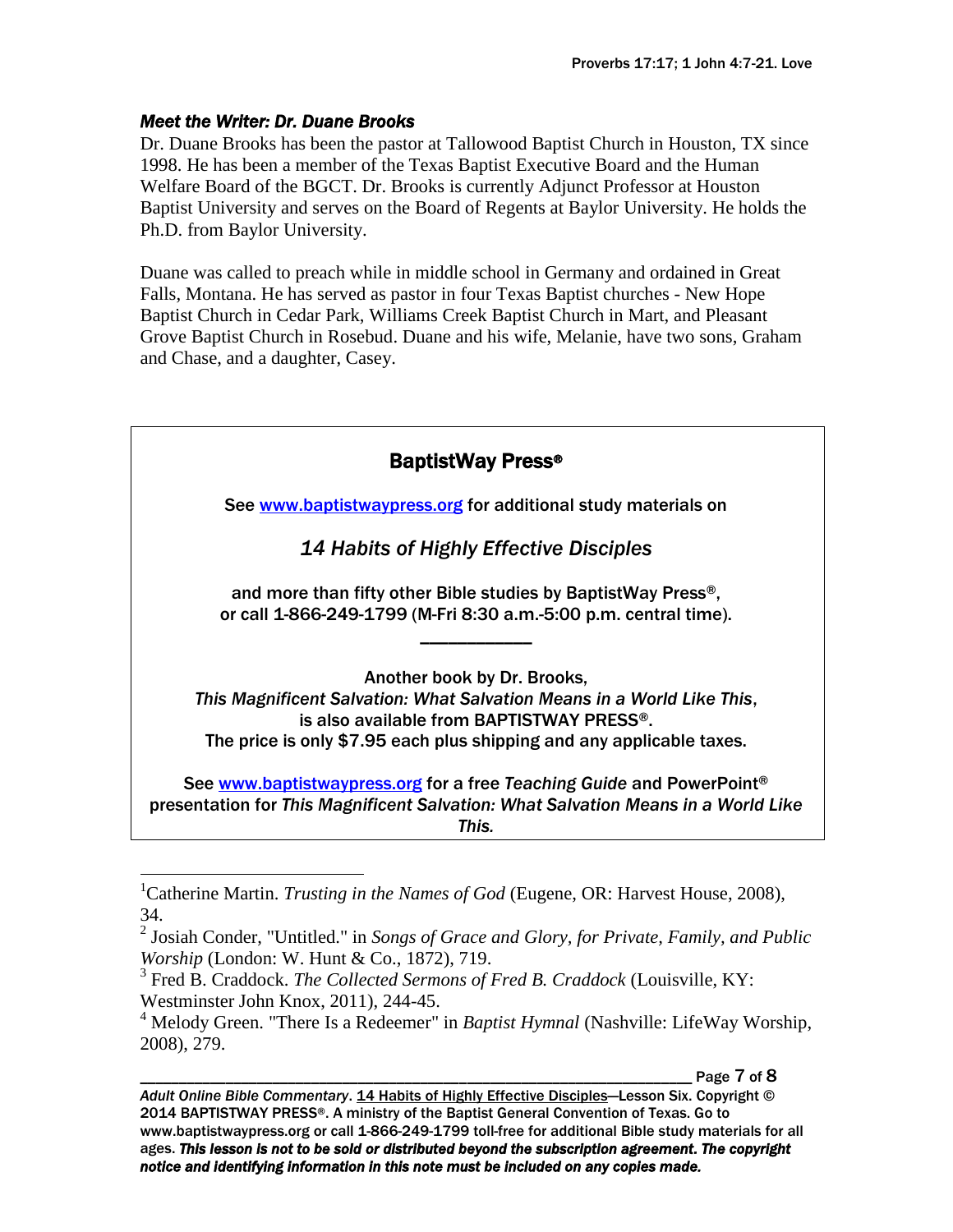### *Meet the Writer: Dr. Duane Brooks*

Dr. Duane Brooks has been the pastor at Tallowood Baptist Church in Houston, TX since 1998. He has been a member of the Texas Baptist Executive Board and the Human Welfare Board of the BGCT. Dr. Brooks is currently Adjunct Professor at Houston Baptist University and serves on the Board of Regents at Baylor University. He holds the Ph.D. from Baylor University.

Duane was called to preach while in middle school in Germany and ordained in Great Falls, Montana. He has served as pastor in four Texas Baptist churches - New Hope Baptist Church in Cedar Park, Williams Creek Baptist Church in Mart, and Pleasant Grove Baptist Church in Rosebud. Duane and his wife, Melanie, have two sons, Graham and Chase, and a daughter, Casey.

| <b>BaptistWay Press®</b>                                                                                                                                                                                                                 |
|------------------------------------------------------------------------------------------------------------------------------------------------------------------------------------------------------------------------------------------|
| See www.baptistwaypress.org for additional study materials on                                                                                                                                                                            |
| 14 Habits of Highly Effective Disciples                                                                                                                                                                                                  |
| and more than fifty other Bible studies by BaptistWay Press®,<br>or call 1-866-249-1799 (M-Fri 8:30 a.m.-5:00 p.m. central time).                                                                                                        |
| Another book by Dr. Brooks,<br>This Magnificent Salvation: What Salvation Means in a World Like This,<br>is also available from BAPTISTWAY PRESS <sup>®</sup> .<br>The price is only \$7.95 each plus shipping and any applicable taxes. |
| See www.baptistwaypress.org for a free Teaching Guide and PowerPoint®<br>presentation for This Magnificent Salvation: What Salvation Means in a World Like<br>This.                                                                      |

Page 7 of 8

<sup>&</sup>lt;sup>1</sup>Catherine Martin. *Trusting in the Names of God* (Eugene, OR: Harvest House, 2008), 34.

<sup>2</sup> Josiah Conder, "Untitled." in *Songs of Grace and Glory, for Private, Family, and Public Worship* (London: W. Hunt & Co., 1872), 719.

<sup>3</sup> Fred B. Craddock. *The Collected Sermons of Fred B. Craddock* (Louisville, KY: Westminster John Knox, 2011), 244-45.

<sup>&</sup>lt;sup>4</sup> Melody Green. "There Is a Redeemer" in *Baptist Hymnal* (Nashville: LifeWay Worship, 2008), 279.

*Adult Online Bible Commentary*. 14 Habits of Highly Effective Disciples—Lesson Six. Copyright © 2014 BAPTISTWAY PRESS®. A ministry of the Baptist General Convention of Texas. Go to www.baptistwaypress.org or call 1-866-249-1799 toll-free for additional Bible study materials for all ages. *This lesson is not to be sold or distributed beyond the subscription agreement. The copyright notice and identifying information in this note must be included on any copies made.*